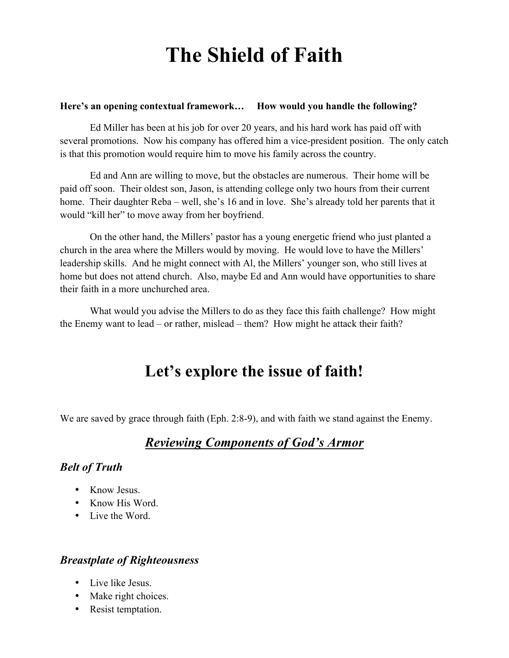# **The Shield of Faith**

#### **Here's an opening contextual framework… How would you handle the following?**

Ed Miller has been at his job for over 20 years, and his hard work has paid off with several promotions. Now his company has offered him a vice-president position. The only catch is that this promotion would require him to move his family across the country.

Ed and Ann are willing to move, but the obstacles are numerous. Their home will be paid off soon. Their oldest son, Jason, is attending college only two hours from their current home. Their daughter Reba – well, she's 16 and in love. She's already told her parents that it would "kill her" to move away from her boyfriend.

On the other hand, the Millers' pastor has a young energetic friend who just planted a church in the area where the Millers would by moving. He would love to have the Millers' leadership skills. And he might connect with Al, the Millers' younger son, who still lives at home but does not attend church. Also, maybe Ed and Ann would have opportunities to share their faith in a more unchurched area.

What would you advise the Millers to do as they face this faith challenge? How might the Enemy want to lead – or rather, mislead – them? How might he attack their faith?

## **Let's explore the issue of faith!**

We are saved by grace through faith (Eph. 2:8-9), and with faith we stand against the Enemy.

#### *Reviewing Components of God's Armor*

#### *Belt of Truth*

- Know Jesus.
- Know His Word.
- Live the Word.

#### *Breastplate of Righteousness*

- Live like Jesus.
- Make right choices.
- Resist temptation.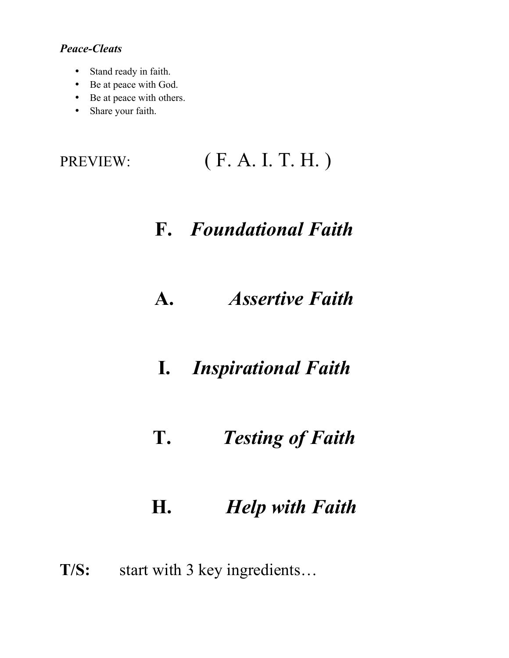#### *Peace-Cleats*

- Stand ready in faith.
- Be at peace with God.
- Be at peace with others.
- Share your faith.

## **F.** *Foundational Faith*

- **A.** *Assertive Faith*
- **I.** *Inspirational Faith*
- **T.** *Testing of Faith*

## **H.** *Help with Faith*

**T/S:** start with 3 key ingredients…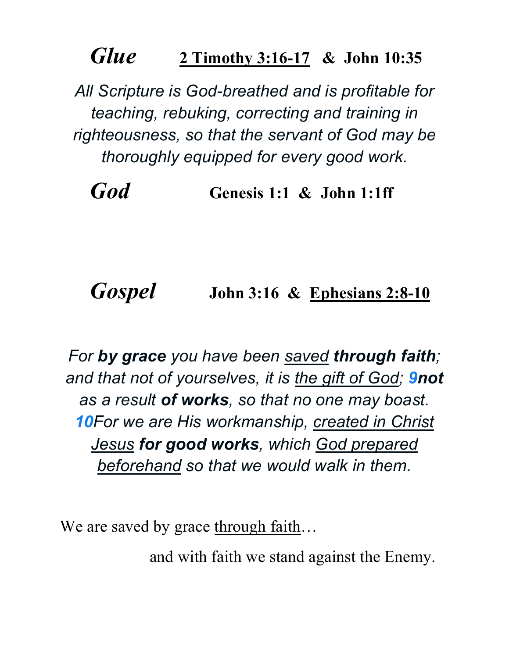## *Glue* **2 Timothy 3:16-17 & John 10:35**

*All Scripture is God-breathed and is profitable for teaching, rebuking, correcting and training in righteousness, so that the servant of God may be thoroughly equipped for every good work.*

*God* **Genesis 1:1 & John 1:1ff**

## *Gospel* **John 3:16 & Ephesians 2:8-10**

*For by grace you have been saved through faith; and that not of yourselves, it is the gift of God; 9not as a result of works, so that no one may boast. 10For we are His workmanship, created in Christ Jesus for good works, which God prepared beforehand so that we would walk in them.*

We are saved by grace through faith...

and with faith we stand against the Enemy.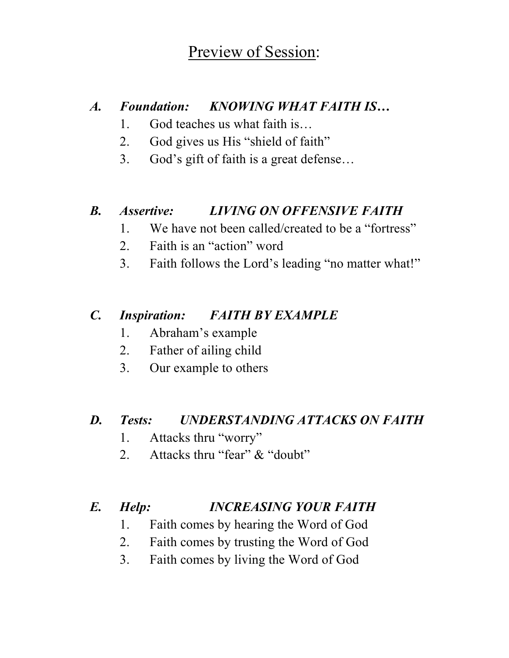## Preview of Session:

#### *A. Foundation: KNOWING WHAT FAITH IS…*

- 1. God teaches us what faith is…
- 2. God gives us His "shield of faith"
- 3. God's gift of faith is a great defense…

#### *B. Assertive: LIVING ON OFFENSIVE FAITH*

- 1. We have not been called/created to be a "fortress"
- 2. Faith is an "action" word
- 3. Faith follows the Lord's leading "no matter what!"

#### *C. Inspiration: FAITH BY EXAMPLE*

- 1. Abraham's example
- 2. Father of ailing child
- 3. Our example to others

#### *D. Tests: UNDERSTANDING ATTACKS ON FAITH*

- 1. Attacks thru "worry"
- 2. Attacks thru "fear" & "doubt"

#### *E. Help: INCREASING YOUR FAITH*

- 1. Faith comes by hearing the Word of God
- 2. Faith comes by trusting the Word of God
- 3. Faith comes by living the Word of God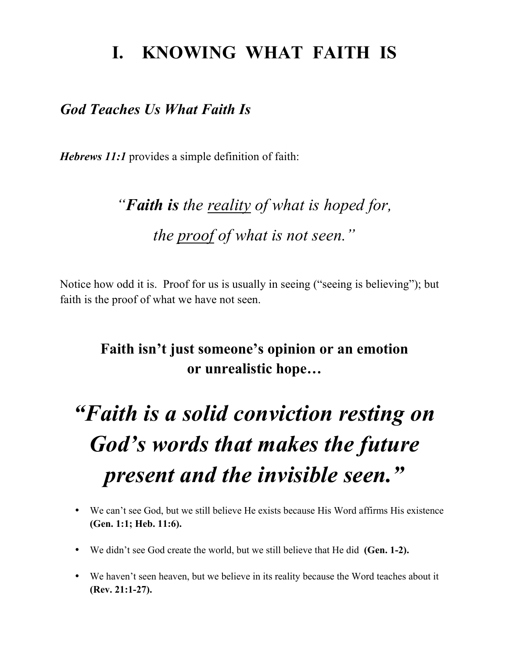## **I. KNOWING WHAT FAITH IS**

#### *God Teaches Us What Faith Is*

*Hebrews 11:1* provides a simple definition of faith:

# *"Faith is the reality of what is hoped for, the proof of what is not seen."*

Notice how odd it is. Proof for us is usually in seeing ("seeing is believing"); but faith is the proof of what we have not seen.

### **Faith isn't just someone's opinion or an emotion or unrealistic hope…**

# *"Faith is a solid conviction resting on God's words that makes the future present and the invisible seen."*

- We can't see God, but we still believe He exists because His Word affirms His existence **(Gen. 1:1; Heb. 11:6).**
- We didn't see God create the world, but we still believe that He did **(Gen. 1-2).**
- We haven't seen heaven, but we believe in its reality because the Word teaches about it **(Rev. 21:1-27).**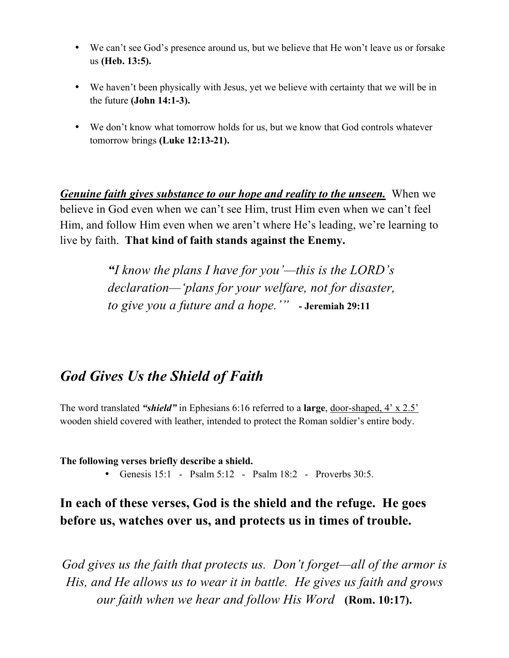- We can't see God's presence around us, but we believe that He won't leave us or forsake us **(Heb. 13:5).**
- We haven't been physically with Jesus, yet we believe with certainty that we will be in the future **(John 14:1-3).**
- We don't know what tomorrow holds for us, but we know that God controls whatever tomorrow brings **(Luke 12:13-21).**

*Genuine faith gives substance to our hope and reality to the unseen.* When we believe in God even when we can't see Him, trust Him even when we can't feel Him, and follow Him even when we aren't where He's leading, we're learning to live by faith. **That kind of faith stands against the Enemy.**

> *"I know the plans I have for you'—this is the LORD's declaration—'plans for your welfare, not for disaster, to give you a future and a hope.'"* **- Jeremiah 29:11**

### *God Gives Us the Shield of Faith*

The word translated *"shield"* in Ephesians 6:16 referred to a **large**, door-shaped, 4' x 2.5' wooden shield covered with leather, intended to protect the Roman soldier's entire body.

**The following verses briefly describe a shield.**

• Genesis 15:1 - Psalm 5:12 - Psalm 18:2 - Proverbs 30:5.

#### **In each of these verses, God is the shield and the refuge. He goes before us, watches over us, and protects us in times of trouble.**

*God gives us the faith that protects us. Don't forget—all of the armor is His, and He allows us to wear it in battle. He gives us faith and grows our faith when we hear and follow His Word* **(Rom. 10:17).**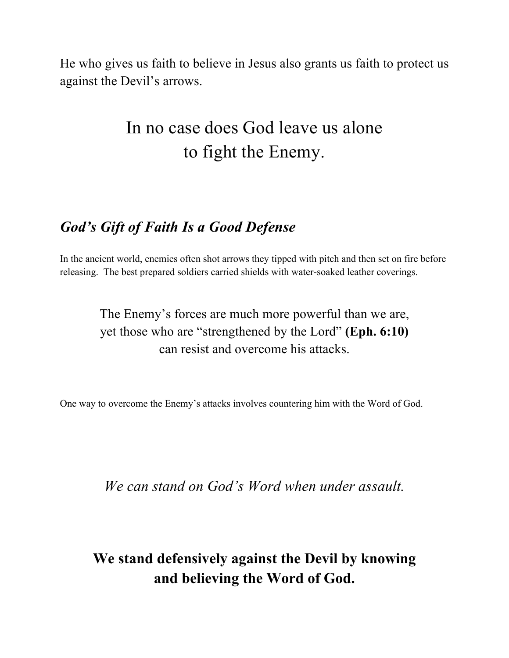He who gives us faith to believe in Jesus also grants us faith to protect us against the Devil's arrows.

## In no case does God leave us alone to fight the Enemy.

### *God's Gift of Faith Is a Good Defense*

In the ancient world, enemies often shot arrows they tipped with pitch and then set on fire before releasing. The best prepared soldiers carried shields with water-soaked leather coverings.

> The Enemy's forces are much more powerful than we are, yet those who are "strengthened by the Lord" **(Eph. 6:10)** can resist and overcome his attacks.

One way to overcome the Enemy's attacks involves countering him with the Word of God.

*We can stand on God's Word when under assault.*

### **We stand defensively against the Devil by knowing and believing the Word of God.**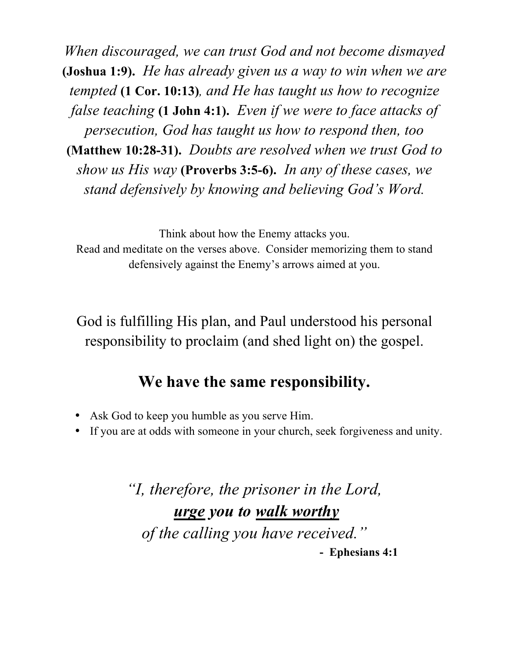*When discouraged, we can trust God and not become dismayed*  **(Joshua 1:9).** *He has already given us a way to win when we are tempted* **(1 Cor. 10:13)***, and He has taught us how to recognize false teaching* **(1 John 4:1).** *Even if we were to face attacks of persecution, God has taught us how to respond then, too*  **(Matthew 10:28-31).** *Doubts are resolved when we trust God to show us His way* **(Proverbs 3:5-6).** *In any of these cases, we stand defensively by knowing and believing God's Word.*

Think about how the Enemy attacks you. Read and meditate on the verses above. Consider memorizing them to stand defensively against the Enemy's arrows aimed at you.

God is fulfilling His plan, and Paul understood his personal responsibility to proclaim (and shed light on) the gospel.

### **We have the same responsibility.**

- Ask God to keep you humble as you serve Him.
- If you are at odds with someone in your church, seek forgiveness and unity.

*"I, therefore, the prisoner in the Lord, urge you to walk worthy of the calling you have received."*  **- Ephesians 4:1**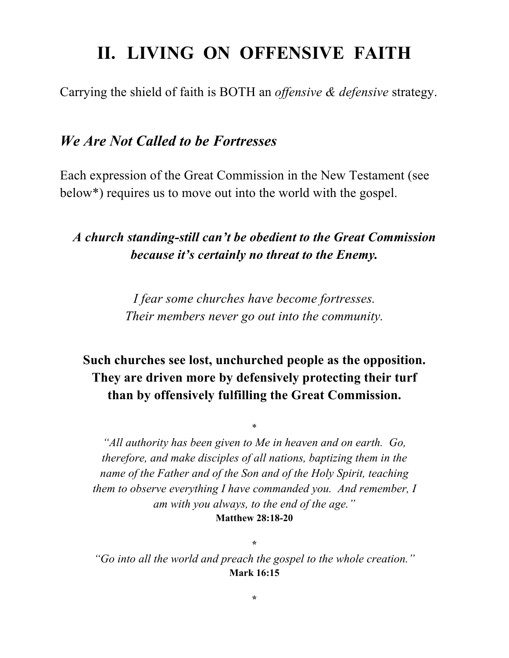## **II. LIVING ON OFFENSIVE FAITH**

Carrying the shield of faith is BOTH an *offensive & defensive* strategy.

#### *We Are Not Called to be Fortresses*

Each expression of the Great Commission in the New Testament (see below\*) requires us to move out into the world with the gospel.

#### *A church standing-still can't be obedient to the Great Commission because it's certainly no threat to the Enemy.*

*I fear some churches have become fortresses. Their members never go out into the community.*

#### **Such churches see lost, unchurched people as the opposition. They are driven more by defensively protecting their turf than by offensively fulfilling the Great Commission.**

\*

*"All authority has been given to Me in heaven and on earth. Go, therefore, and make disciples of all nations, baptizing them in the name of the Father and of the Son and of the Holy Spirit, teaching them to observe everything I have commanded you. And remember, I am with you always, to the end of the age."* **Matthew 28:18-20**

**\*** *"Go into all the world and preach the gospel to the whole creation."* **Mark 16:15**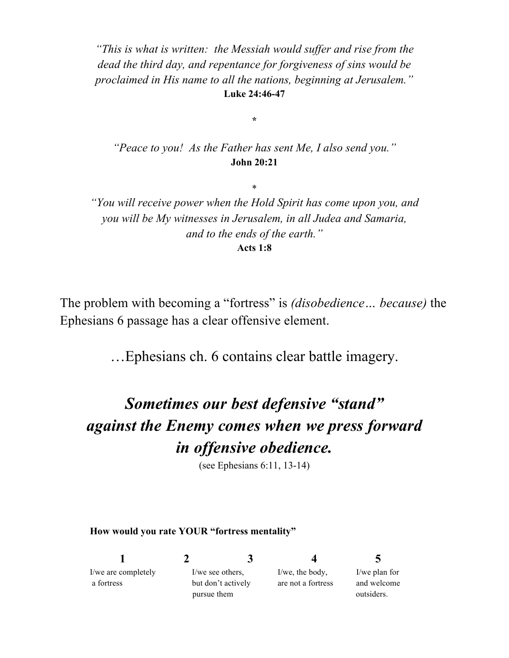*"This is what is written: the Messiah would suffer and rise from the dead the third day, and repentance for forgiveness of sins would be proclaimed in His name to all the nations, beginning at Jerusalem."* **Luke 24:46-47**

*"Peace to you! As the Father has sent Me, I also send you."* **John 20:21**

\*

**\***

*"You will receive power when the Hold Spirit has come upon you, and you will be My witnesses in Jerusalem, in all Judea and Samaria, and to the ends of the earth."* **Acts 1:8**

The problem with becoming a "fortress" is *(disobedience… because)* the Ephesians 6 passage has a clear offensive element.

…Ephesians ch. 6 contains clear battle imagery.

## *Sometimes our best defensive "stand" against the Enemy comes when we press forward in offensive obedience.*

(see Ephesians 6:11, 13-14)

#### **How would you rate YOUR "fortress mentality"**

| I/we are completely | I/we see others.   |  | $I/we$ , the body, | I/we plan for |
|---------------------|--------------------|--|--------------------|---------------|
| a fortress          | but don't actively |  | are not a fortress | and welcome   |
|                     | pursue them        |  |                    | outsiders.    |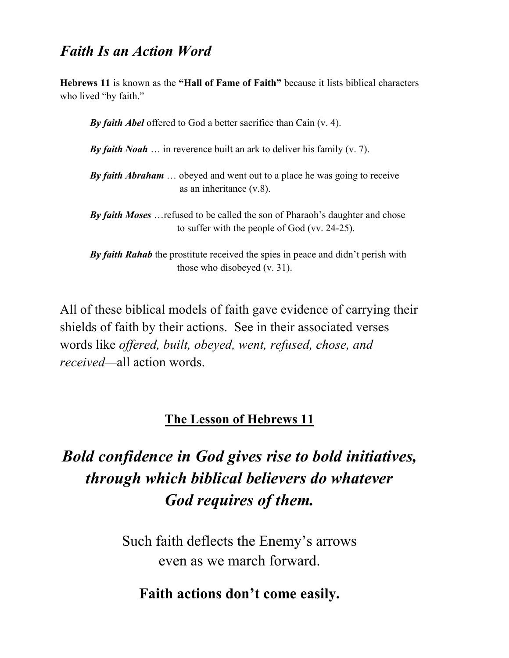#### *Faith Is an Action Word*

**Hebrews 11** is known as the **"Hall of Fame of Faith"** because it lists biblical characters who lived "by faith."

*By faith Abel* offered to God a better sacrifice than Cain (v. 4).

*By faith Noah* … in reverence built an ark to deliver his family (v. 7).

*By faith Abraham* … obeyed and went out to a place he was going to receive as an inheritance (v.8).

*By faith Moses* …refused to be called the son of Pharaoh's daughter and chose to suffer with the people of God (vv. 24-25).

*By faith Rahab* the prostitute received the spies in peace and didn't perish with those who disobeyed (v. 31).

All of these biblical models of faith gave evidence of carrying their shields of faith by their actions. See in their associated verses words like *offered, built, obeyed, went, refused, chose, and received—*all action words.

#### **The Lesson of Hebrews 11**

## *Bold confidence in God gives rise to bold initiatives, through which biblical believers do whatever God requires of them.*

Such faith deflects the Enemy's arrows even as we march forward.

#### **Faith actions don't come easily.**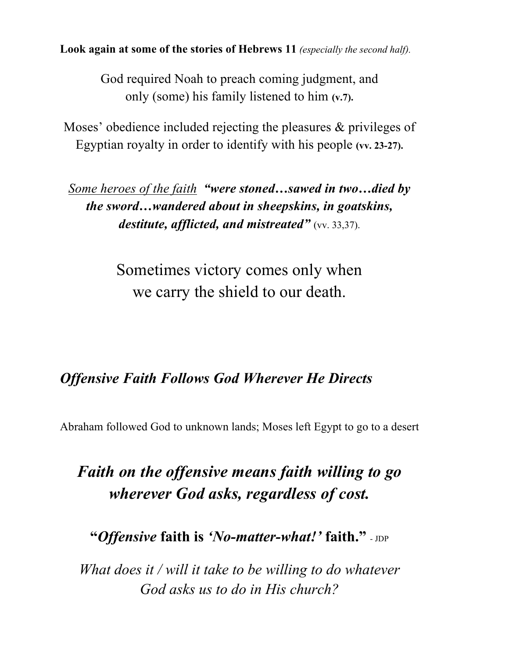**Look again at some of the stories of Hebrews 11** *(especially the second half).*

God required Noah to preach coming judgment, and only (some) his family listened to him **(v.7).**

Moses' obedience included rejecting the pleasures & privileges of Egyptian royalty in order to identify with his people **(vv. 23-27).**

*Some heroes of the faith "were stoned…sawed in two…died by the sword…wandered about in sheepskins, in goatskins, destitute, afflicted, and mistreated"* (vv. 33,37).

> Sometimes victory comes only when we carry the shield to our death.

#### *Offensive Faith Follows God Wherever He Directs*

Abraham followed God to unknown lands; Moses left Egypt to go to a desert

## *Faith on the offensive means faith willing to go wherever God asks, regardless of cost.*

**"***Offensive* **faith is** *'No-matter-what!'* **faith."** - JDP

*What does it / will it take to be willing to do whatever God asks us to do in His church?*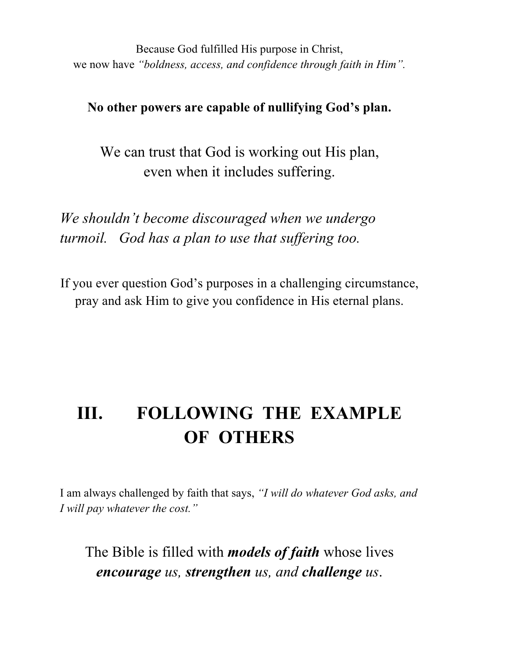Because God fulfilled His purpose in Christ, we now have *"boldness, access, and confidence through faith in Him".*

**No other powers are capable of nullifying God's plan.**

We can trust that God is working out His plan, even when it includes suffering.

*We shouldn't become discouraged when we undergo turmoil. God has a plan to use that suffering too.* 

If you ever question God's purposes in a challenging circumstance, pray and ask Him to give you confidence in His eternal plans.

## **III. FOLLOWING THE EXAMPLE OF OTHERS**

I am always challenged by faith that says, *"I will do whatever God asks, and I will pay whatever the cost."*

The Bible is filled with *models of faith* whose lives *encourage us, strengthen us, and challenge us*.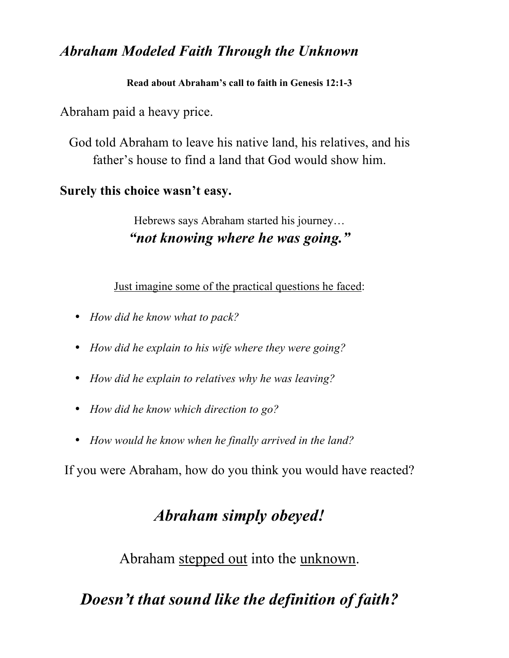### *Abraham Modeled Faith Through the Unknown*

#### **Read about Abraham's call to faith in Genesis 12:1-3**

Abraham paid a heavy price.

God told Abraham to leave his native land, his relatives, and his father's house to find a land that God would show him.

### **Surely this choice wasn't easy.**

Hebrews says Abraham started his journey… *"not knowing where he was going."*

Just imagine some of the practical questions he faced:

- *How did he know what to pack?*
- *How did he explain to his wife where they were going?*
- *How did he explain to relatives why he was leaving?*
- *How did he know which direction to go?*
- *How would he know when he finally arrived in the land?*

If you were Abraham, how do you think you would have reacted?

## *Abraham simply obeyed!*

Abraham stepped out into the unknown.

*Doesn't that sound like the definition of faith?*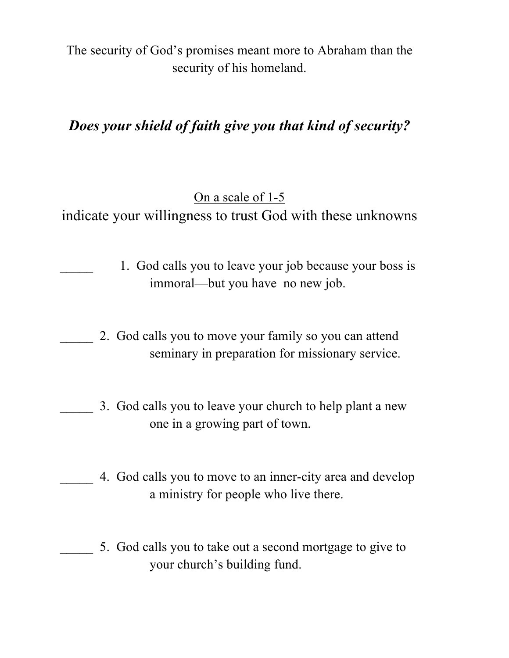The security of God's promises meant more to Abraham than the security of his homeland.

### *Does your shield of faith give you that kind of security?*

### On a scale of 1-5

indicate your willingness to trust God with these unknowns

- 1. God calls you to leave your job because your boss is immoral—but you have no new job.
- \_\_\_\_\_ 2. God calls you to move your family so you can attend seminary in preparation for missionary service.
- 3. God calls you to leave your church to help plant a new one in a growing part of town.
	- 4. God calls you to move to an inner-city area and develop a ministry for people who live there.
	- \_\_\_\_\_ 5. God calls you to take out a second mortgage to give to your church's building fund.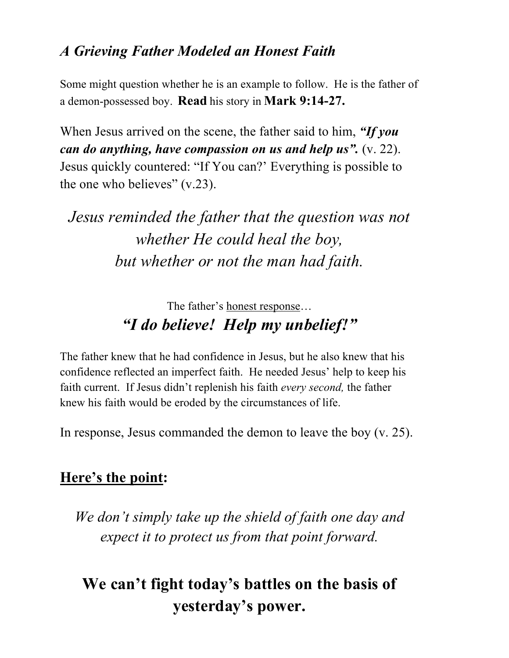### *A Grieving Father Modeled an Honest Faith*

Some might question whether he is an example to follow. He is the father of a demon-possessed boy. **Read** his story in **Mark 9:14-27.**

When Jesus arrived on the scene, the father said to him, *"If you can do anything, have compassion on us and help us".* (v. 22). Jesus quickly countered: "If You can?' Everything is possible to the one who believes" (v.23).

## *Jesus reminded the father that the question was not whether He could heal the boy, but whether or not the man had faith.*

### The father's honest response… *"I do believe! Help my unbelief!"*

The father knew that he had confidence in Jesus, but he also knew that his confidence reflected an imperfect faith. He needed Jesus' help to keep his faith current. If Jesus didn't replenish his faith *every second,* the father knew his faith would be eroded by the circumstances of life.

In response, Jesus commanded the demon to leave the boy (v. 25).

### **Here's the point:**

*We don't simply take up the shield of faith one day and expect it to protect us from that point forward.*

## **We can't fight today's battles on the basis of yesterday's power.**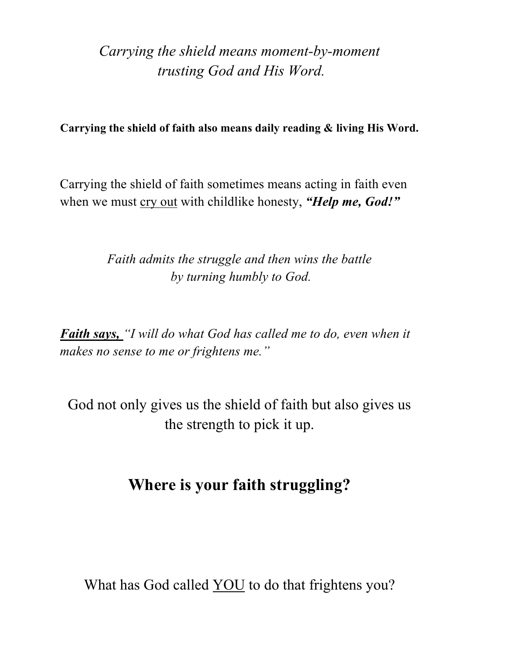*Carrying the shield means moment-by-moment trusting God and His Word.*

**Carrying the shield of faith also means daily reading & living His Word.**

Carrying the shield of faith sometimes means acting in faith even when we must <u>cry out</u> with childlike honesty, "*Help me, God!*"

> *Faith admits the struggle and then wins the battle by turning humbly to God.*

*Faith says, "I will do what God has called me to do, even when it makes no sense to me or frightens me."* 

God not only gives us the shield of faith but also gives us the strength to pick it up.

### **Where is your faith struggling?**

What has God called **YOU** to do that frightens you?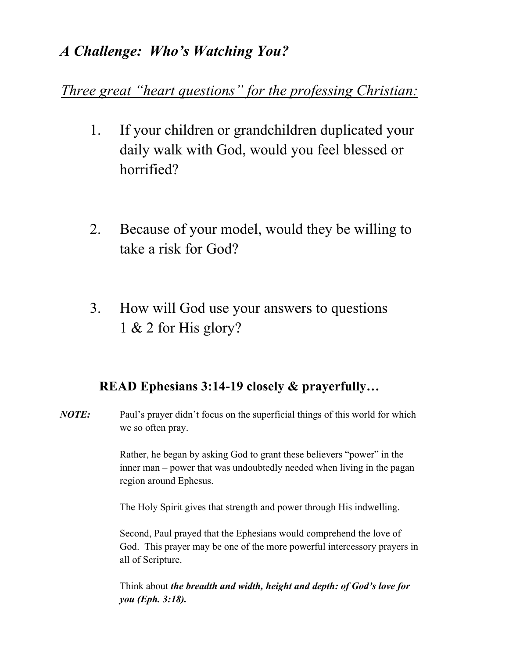### *A Challenge: Who's Watching You?*

*Three great "heart questions" for the professing Christian:*

- 1. If your children or grandchildren duplicated your daily walk with God, would you feel blessed or horrified?
- 2. Because of your model, would they be willing to take a risk for God?
- 3. How will God use your answers to questions 1 & 2 for His glory?

#### **READ Ephesians 3:14-19 closely & prayerfully…**

*NOTE:* Paul's prayer didn't focus on the superficial things of this world for which we so often pray.

> Rather, he began by asking God to grant these believers "power" in the inner man – power that was undoubtedly needed when living in the pagan region around Ephesus.

The Holy Spirit gives that strength and power through His indwelling.

Second, Paul prayed that the Ephesians would comprehend the love of God. This prayer may be one of the more powerful intercessory prayers in all of Scripture.

Think about *the breadth and width, height and depth: of God's love for you (Eph. 3:18).*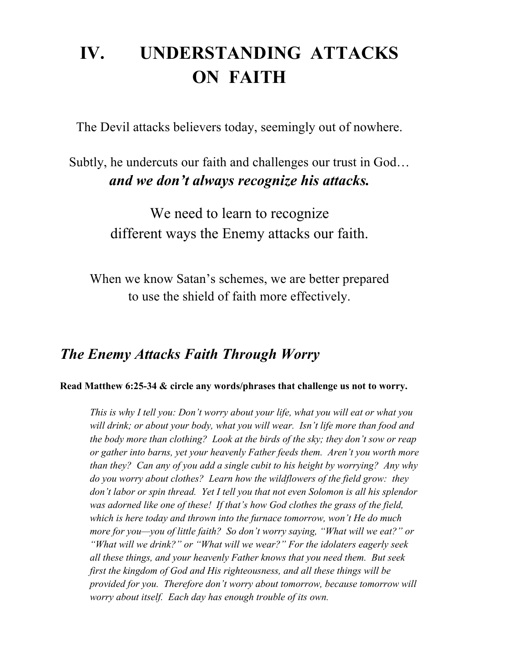## **IV. UNDERSTANDING ATTACKS ON FAITH**

The Devil attacks believers today, seemingly out of nowhere.

### Subtly, he undercuts our faith and challenges our trust in God… *and we don't always recognize his attacks.*

We need to learn to recognize different ways the Enemy attacks our faith.

When we know Satan's schemes, we are better prepared to use the shield of faith more effectively.

#### *The Enemy Attacks Faith Through Worry*

**Read Matthew 6:25-34 & circle any words/phrases that challenge us not to worry.**

*This is why I tell you: Don't worry about your life, what you will eat or what you will drink; or about your body, what you will wear. Isn't life more than food and the body more than clothing? Look at the birds of the sky; they don't sow or reap or gather into barns, yet your heavenly Father feeds them. Aren't you worth more than they? Can any of you add a single cubit to his height by worrying? Any why do you worry about clothes? Learn how the wildflowers of the field grow: they don't labor or spin thread. Yet I tell you that not even Solomon is all his splendor was adorned like one of these! If that's how God clothes the grass of the field, which is here today and thrown into the furnace tomorrow, won't He do much more for you—you of little faith? So don't worry saying, "What will we eat?" or "What will we drink?" or "What will we wear?" For the idolaters eagerly seek all these things, and your heavenly Father knows that you need them. But seek first the kingdom of God and His righteousness, and all these things will be provided for you. Therefore don't worry about tomorrow, because tomorrow will worry about itself. Each day has enough trouble of its own.*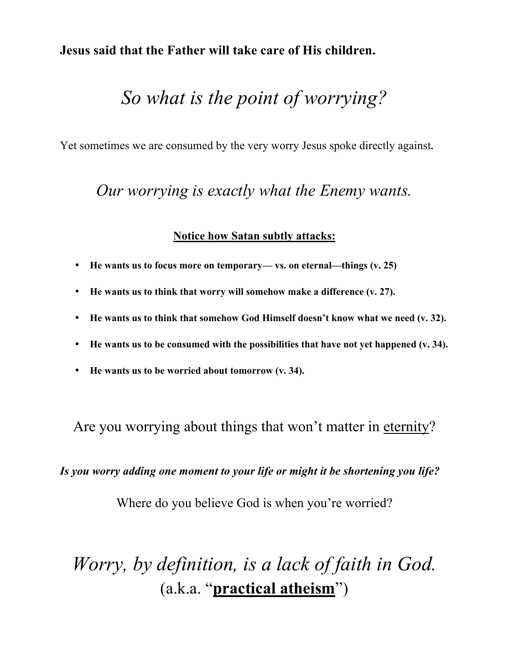**Jesus said that the Father will take care of His children.** 

## *So what is the point of worrying?*

Yet sometimes we are consumed by the very worry Jesus spoke directly against**.**

### *Our worrying is exactly what the Enemy wants.*

#### **Notice how Satan subtly attacks:**

- **He wants us to focus more on temporary— vs. on eternal—things (v. 25)**
- **He wants us to think that worry will somehow make a difference (v. 27).**
- **He wants us to think that somehow God Himself doesn't know what we need (v. 32).**
- **He wants us to be consumed with the possibilities that have not yet happened (v. 34).**
- **He wants us to be worried about tomorrow (v. 34).**

Are you worrying about things that won't matter in eternity?

*Is you worry adding one moment to your life or might it be shortening you life?*

Where do you believe God is when you're worried?

## *Worry, by definition, is a lack of faith in God.* (a.k.a. "**practical atheism**")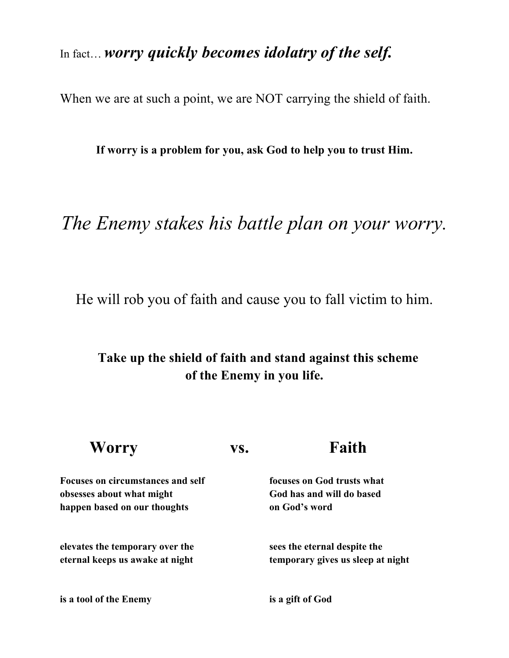### In fact… *worry quickly becomes idolatry of the self.*

When we are at such a point, we are NOT carrying the shield of faith.

**If worry is a problem for you, ask God to help you to trust Him.**

## *The Enemy stakes his battle plan on your worry.*

He will rob you of faith and cause you to fall victim to him.

#### **Take up the shield of faith and stand against this scheme of the Enemy in you life.**

| VS. | Faith                             |
|-----|-----------------------------------|
|     | focuses on God trusts what        |
|     | God has and will do based         |
|     | on God's word                     |
|     | sees the eternal despite the      |
|     | temporary gives us sleep at night |
|     | is a gift of God                  |
|     |                                   |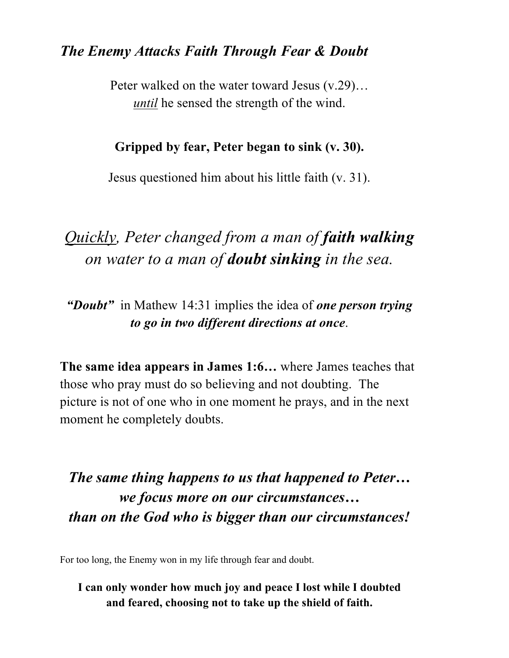#### *The Enemy Attacks Faith Through Fear & Doubt*

Peter walked on the water toward Jesus (v.29)… *until* he sensed the strength of the wind.

#### **Gripped by fear, Peter began to sink (v. 30).**

Jesus questioned him about his little faith (v. 31).

## *Quickly, Peter changed from a man of faith walking on water to a man of doubt sinking in the sea.*

*"Doubt"* in Mathew 14:31 implies the idea of *one person trying to go in two different directions at once*.

**The same idea appears in James 1:6…** where James teaches that those who pray must do so believing and not doubting. The picture is not of one who in one moment he prays, and in the next moment he completely doubts.

## *The same thing happens to us that happened to Peter… we focus more on our circumstances… than on the God who is bigger than our circumstances!*

For too long, the Enemy won in my life through fear and doubt.

#### **I can only wonder how much joy and peace I lost while I doubted and feared, choosing not to take up the shield of faith.**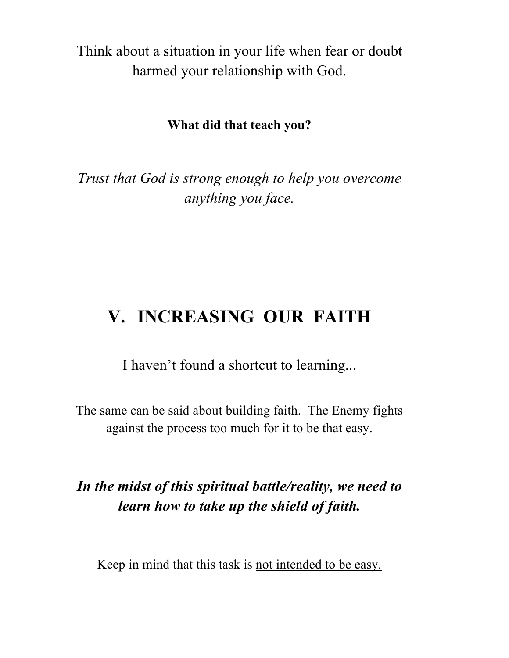Think about a situation in your life when fear or doubt harmed your relationship with God.

#### **What did that teach you?**

*Trust that God is strong enough to help you overcome anything you face.*

## **V. INCREASING OUR FAITH**

I haven't found a shortcut to learning...

The same can be said about building faith. The Enemy fights against the process too much for it to be that easy.

### *In the midst of this spiritual battle/reality, we need to learn how to take up the shield of faith.*

Keep in mind that this task is not intended to be easy.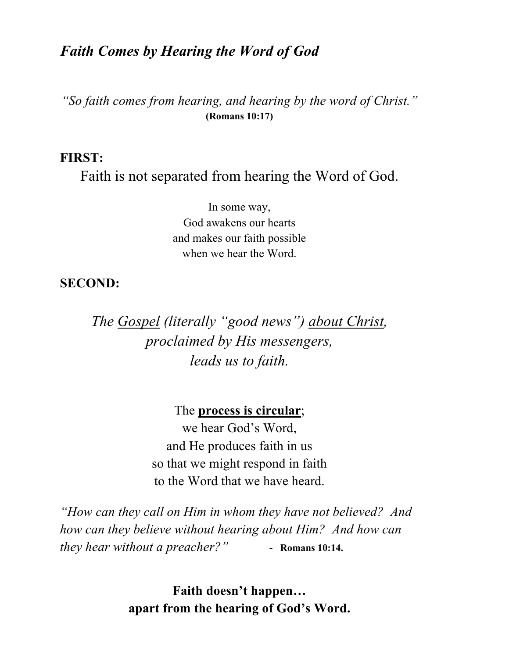#### *Faith Comes by Hearing the Word of God*

*"So faith comes from hearing, and hearing by the word of Christ."* **(Romans 10:17)**

#### **FIRST:**

Faith is not separated from hearing the Word of God.

In some way, God awakens our hearts and makes our faith possible when we hear the Word.

#### **SECOND:**

*The Gospel (literally "good news") about Christ, proclaimed by His messengers, leads us to faith.*

The **process is circular**;

we hear God's Word, and He produces faith in us so that we might respond in faith to the Word that we have heard.

*"How can they call on Him in whom they have not believed? And how can they believe without hearing about Him? And how can they hear without a preacher?"* **- Romans 10:14.** 

> **Faith doesn't happen… apart from the hearing of God's Word.**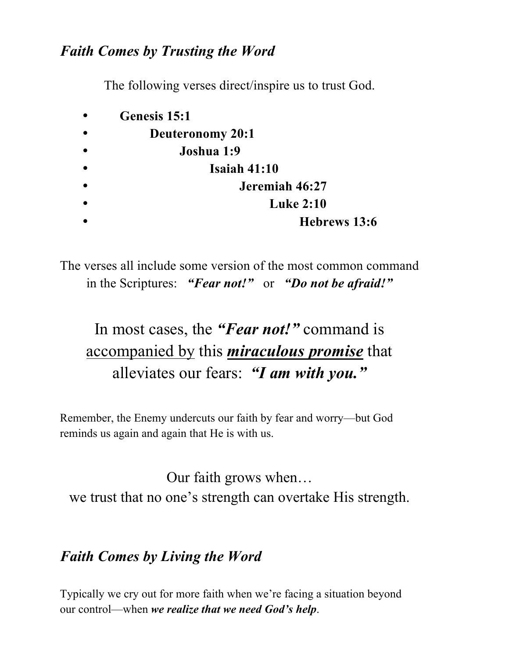### *Faith Comes by Trusting the Word*

The following verses direct/inspire us to trust God.

| Genesis 15:1     |
|------------------|
| Deuteronomy 20:1 |
| Joshua 1:9       |
| Isaiah $41:10$   |
| Jeremiah 46:27   |
| <b>Luke 2:10</b> |
| Hebrews 13:6     |

The verses all include some version of the most common command in the Scriptures: *"Fear not!"* or *"Do not be afraid!"*

## In most cases, the *"Fear not!"* command is accompanied by this *miraculous promise* that alleviates our fears: *"I am with you."*

Remember, the Enemy undercuts our faith by fear and worry—but God reminds us again and again that He is with us.

Our faith grows when… we trust that no one's strength can overtake His strength.

### *Faith Comes by Living the Word*

Typically we cry out for more faith when we're facing a situation beyond our control—when *we realize that we need God's help*.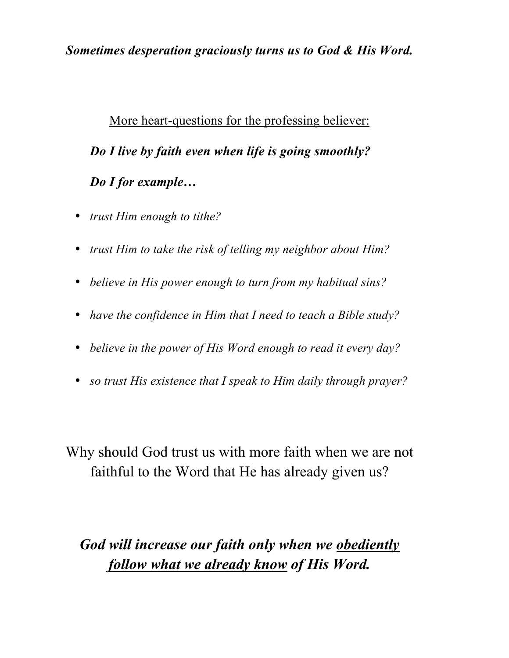#### *Sometimes desperation graciously turns us to God & His Word.*

More heart-questions for the professing believer: *Do I live by faith even when life is going smoothly? Do I for example…*

- *trust Him enough to tithe?*
- *trust Him to take the risk of telling my neighbor about Him?*
- *believe in His power enough to turn from my habitual sins?*
- *have the confidence in Him that I need to teach a Bible study?*
- *believe in the power of His Word enough to read it every day?*
- *so trust His existence that I speak to Him daily through prayer?*

Why should God trust us with more faith when we are not faithful to the Word that He has already given us?

## *God will increase our faith only when we obediently follow what we already know of His Word.*